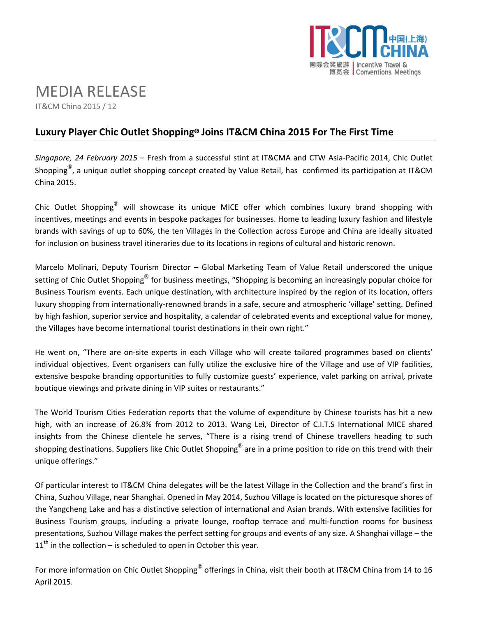

# MEDIA RELEASE

IT&CM China 2015 / 12

# **Luxury Player Chic Outlet Shopping**® **Joins IT&CM China 2015 For The First Time**

*Singapore, 24 February 2015* – Fresh from a successful stint at IT&CMA and CTW Asia-Pacific 2014, Chic Outlet Shopping<sup>®</sup>, a unique outlet shopping concept created by Value Retail, has confirmed its participation at IT&CM China 2015.

Chic Outlet Shopping<sup>®</sup> will showcase its unique MICE offer which combines luxury brand shopping with incentives, meetings and events in bespoke packages for businesses. Home to leading luxury fashion and lifestyle brands with savings of up to 60%, the ten Villages in the Collection across Europe and China are ideally situated for inclusion on business travel itineraries due to its locations in regions of cultural and historic renown.

Marcelo Molinari, Deputy Tourism Director – Global Marketing Team of Value Retail underscored the unique setting of Chic Outlet Shopping® for business meetings, "Shopping is becoming an increasingly popular choice for Business Tourism events. Each unique destination, with architecture inspired by the region of its location, offers luxury shopping from internationally-renowned brands in a safe, secure and atmospheric 'village' setting. Defined by high fashion, superior service and hospitality, a calendar of celebrated events and exceptional value for money, the Villages have become international tourist destinations in their own right."

He went on, "There are on-site experts in each Village who will create tailored programmes based on clients' individual objectives. Event organisers can fully utilize the exclusive hire of the Village and use of VIP facilities, extensive bespoke branding opportunities to fully customize guests' experience, valet parking on arrival, private boutique viewings and private dining in VIP suites or restaurants."

The World Tourism Cities Federation reports that the volume of expenditure by Chinese tourists has hit a new high, with an increase of 26.8% from 2012 to 2013. Wang Lei, Director of C.I.T.S International MICE shared insights from the Chinese clientele he serves, "There is a rising trend of Chinese travellers heading to such shopping destinations. Suppliers like Chic Outlet Shopping<sup>®</sup> are in a prime position to ride on this trend with their unique offerings."

Of particular interest to IT&CM China delegates will be the latest Village in the Collection and the brand's first in China, Suzhou Village, near Shanghai. Opened in May 2014, Suzhou Village is located on the picturesque shores of the Yangcheng Lake and has a distinctive selection of international and Asian brands. With extensive facilities for Business Tourism groups, including a private lounge, rooftop terrace and multi-function rooms for business presentations, Suzhou Village makes the perfect setting for groups and events of any size. A Shanghai village – the  $11<sup>th</sup>$  in the collection – is scheduled to open in October this year.

For more information on Chic Outlet Shopping® offerings in China, visit their booth at IT&CM China from 14 to 16 April 2015.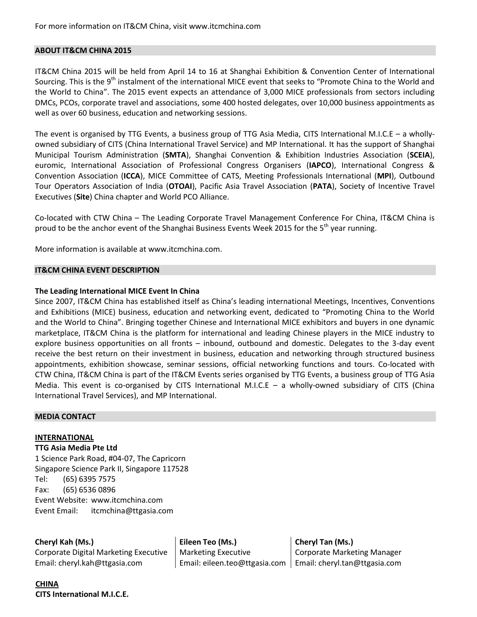# **ABOUT IT&CM CHINA 2015**

IT&CM China 2015 will be held from April 14 to 16 at Shanghai Exhibition & Convention Center of International Sourcing. This is the 9<sup>th</sup> instalment of the international MICE event that seeks to "Promote China to the World and the World to China". The 2015 event expects an attendance of 3,000 MICE professionals from sectors including DMCs, PCOs, corporate travel and associations, some 400 hosted delegates, over 10,000 business appointments as well as over 60 business, education and networking sessions.

The event is organised by TTG Events, a business group of TTG Asia Media, CITS International M.I.C.E – a whollyowned subsidiary of CITS (China International Travel Service) and MP International. It has the support of Shanghai Municipal Tourism Administration (**SMTA**), Shanghai Convention & Exhibition Industries Association (**SCEIA**), euromic, International Association of Professional Congress Organisers (**IAPCO**), International Congress & Convention Association (**ICCA**), MICE Committee of CATS, Meeting Professionals International (**MPI**), Outbound Tour Operators Association of India (**OTOAI**), Pacific Asia Travel Association (**PATA**), Society of Incentive Travel Executives (**Site**) China chapter and World PCO Alliance.

Co-located with CTW China – The Leading Corporate Travel Management Conference For China, IT&CM China is proud to be the anchor event of the Shanghai Business Events Week 2015 for the 5<sup>th</sup> year running.

More information is available at www.itcmchina.com.

# **IT&CM CHINA EVENT DESCRIPTION**

### **The Leading International MICE Event In China**

Since 2007, IT&CM China has established itself as China's leading international Meetings, Incentives, Conventions and Exhibitions (MICE) business, education and networking event, dedicated to "Promoting China to the World and the World to China". Bringing together Chinese and International MICE exhibitors and buyers in one dynamic marketplace, IT&CM China is the platform for international and leading Chinese players in the MICE industry to explore business opportunities on all fronts – inbound, outbound and domestic. Delegates to the 3-day event receive the best return on their investment in business, education and networking through structured business appointments, exhibition showcase, seminar sessions, official networking functions and tours. Co-located with CTW China, IT&CM China is part of the IT&CM Events series organised by TTG Events, a business group of TTG Asia Media. This event is co-organised by CITS International M.I.C.E – a wholly-owned subsidiary of CITS (China International Travel Services), and MP International.

### **MEDIA CONTACT**

### **INTERNATIONAL**

**TTG Asia Media Pte Ltd** 1 Science Park Road, #04-07, The Capricorn Singapore Science Park II, Singapore 117528 Tel: (65) 6395 7575 Fax: (65) 6536 0896 Event Website: [www.itcmchina.com](http://www.itcmchina.com/) Event Email: itcmchina@ttgasia.com

**Cheryl Kah (Ms.)** Corporate Digital Marketing Executive Email: cheryl.kah@ttgasia.com

**Eileen Teo (Ms.)** Marketing Executive Email: eileen.teo@ttgasia.com

**Cheryl Tan (Ms.)** Corporate Marketing Manager Email: cheryl.tan@ttgasia.com